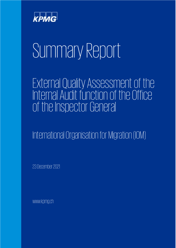

# Summary Report

External Quality Assessment of the Internal Audit functionof the Office of the Inspector General

International Organisation for Migration (IOM)

23December 2021

www.kpmg.ch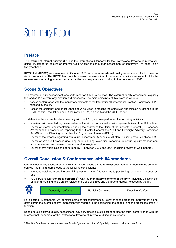# Summary Report

#### **Preface**

The Institute of Internal Auditors (IIA) and the International Standards for the Professional Practice of Internal Auditing (IIA standards) require an Internal Audit function to conduct an assessment of conformity – at least – on a five-year basis.

KPMG Ltd. (KPMG) was mandated in October 2021 to perform an external quality assessment of IOM's Internal Audit (IA) function. The KPMG team which oversaw the execution of the external quality assessment fulfills the requirements regarding independence, expertise, and experience according to the IIA standard 1312.

## **Scope & Objectives**

The external quality assessment was performed for IOM's IA function. The external quality assessment explicitly focused on IA's current organization and processes. The main objectives of this exercise were to:

- Assess conformance with the mandatory elements of the International Professional Practice Framework (IPPF) released by the IIA;
- Assess the efficiency and effectiveness of IA activities in meeting the objectives and mission as defined in the IOM Financial Regulations and Rules (Article 10 (d) on Audit) and the OIG Charter.

To determine the current level of conformity with the IPPF, we have performed the following activities:

- Interviews with selected key stakeholders of the IA function as well as with representatives of the IA function;
- Review of internal documentation including the charter of the Office of the Inspector General (OIG charter), IA's manual and procedures, reporting to the Director General, the Audit and Oversight Advisory Committee (AOAC) and the Standing Committee for Program and Finance (SCPF);
- Review of the process regarding annual risk assessment & annual audit plan (including resource allocation);
- Review of IA's audit process (including audit planning, execution, reporting, follow-up, quality management processes as well as the used tools and methodologies);
- Review of five audit missions performed by IA between 2020 and 2021 (including review of work papers).

#### **Overall Conclusion & Conformance with IIA standards**

Our external quality assessment of IOM's IA function based on the review procedures performed and the comparison with the IIA standards leads to the following conclusions:

- We have obtained a positive overall impression of the IA function as to positioning, people, and processes; and
- IOM's IA function **"generally conform[s1"](#page-1-0)** with the **mandatory elements of the IPPF** (including the Definition of Internal Auditing, the Core Principles, the Code of Ethics and the IIA standards), released by the IIA.



Generally Conforms **Partially Conforms** Partially Conforms **Partially Conform** 

For selected IIA standards, we identified some partial conformance. However, these areas for improvement do not detract from the overall positive impression with regards to the positioning, the people, and the processes of the IA function.

Based on our external quality assessment, IOM's IA function is still entitled to use the term "conformance with the International Standards for the Professional Practice of Internal Auditing" in its reports.

<span id="page-1-0"></span><sup>1</sup> The IIA offers three ratings to assess conformity: "generally conforms", "partially conforms", "does not conform".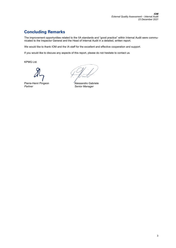## **Concluding Remarks**

The improvement opportunities related to the IIA standards and "good practice" within Internal Audit were communicated to the Inspector General and the Head of Internal Audit in a detailed, written report.

We would like to thank IOM and the IA staff for the excellent and effective cooperation and support.

If you would like to discuss any aspects of this report, please do not hesitate to contact us.

KPMG Ltd.

Pierre-Henri Pingeon **Alessandro Gabriele**<br>Partner Alessandro Gabriele<br>Senior Manager

**Senior Manager**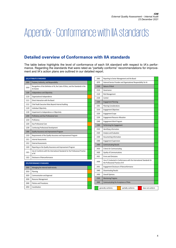## Appendix -Conformance with IIA standards

#### **Detailed overview of Conformance with IIA standards**

The table below highlights the level of conformance of each IIA standard with respect to IA's performance. Regarding the standards that were rated as "partially conforms" recommendations for improvement and IA's action plans are outlined in our detailed report.

| (AS) ATTRIBUTE STANDARDS   |                                                                                                 | 2060 | Reporting to Senior Management and the Board                                                               |
|----------------------------|-------------------------------------------------------------------------------------------------|------|------------------------------------------------------------------------------------------------------------|
| 1000                       | Purpose, Authority, and Responsibility                                                          | 2070 | External Service Provider and Organizational Responsibility for IA                                         |
| 1010                       | Recognition of the Definition of IA, the Code of Ethics, and the Standards in the<br>IA Charter | 2100 | Nature of Work                                                                                             |
| 1100                       | Independence and Objectivity                                                                    | 2110 | Governance                                                                                                 |
|                            |                                                                                                 | 2120 | <b>Risk Management</b>                                                                                     |
| 1110                       | Organizational Independence                                                                     | 2130 | Control                                                                                                    |
| 1111                       | Direct Interaction with the Board                                                               | 2200 | <b>Engagement Planning</b>                                                                                 |
| 1112                       | Chief Audit Executive Roles Beyond Internal Auditing                                            | 2201 | <b>Planning Considerations</b>                                                                             |
| 1120                       | Individual Objectivity                                                                          | 2210 | <b>Engagement Objectives</b>                                                                               |
| 1130                       | Impairment to Independence or Objectivity                                                       | 2220 | <b>Engagement Scope</b>                                                                                    |
| 1200                       | Proficiency and Due Professional Care                                                           | 2230 | <b>Engagement Resource Allocation</b>                                                                      |
| 1210                       | Proficiency                                                                                     | 2240 | <b>Engagement Work Program</b>                                                                             |
| 1220                       | Due Professional Care                                                                           | 2300 | Performing the Engagement                                                                                  |
| 1230                       | Continuing Professional Development                                                             | 2310 | Identifying Information                                                                                    |
| 1300                       | Quality Assurance and Improvement Program                                                       | 2320 | Analysis and Evaluation                                                                                    |
| 1310                       | Requirements of the Quality Assurance and Improvement Program                                   | 2330 | Documenting Information                                                                                    |
| 1311                       | <b>Internal Assessments</b>                                                                     | 2340 | <b>Engagement Supervision</b>                                                                              |
| 1312                       | <b>External Assessments</b>                                                                     | 2400 | <b>Communicating Results</b>                                                                               |
| 1320                       | Reporting on the Quality Assurance and Improvement Program                                      | 2410 | Criteria for Communicating                                                                                 |
| 1321                       | Use of , Conforms with the International Standards for the Professional Practice<br>of IA'      | 2420 | Quality of Communications                                                                                  |
| 1322                       | Disclosure of Nonconformance                                                                    | 2421 | <b>Errors and Omissions</b>                                                                                |
| (PS) PERFORMANCE STANDARDS |                                                                                                 | 2430 | Use of , Conducted in Conformance with the International Standards for<br>the Professional Practice of IA' |
| 2000                       | Managing the Internal Audit Activity                                                            | 2431 | <b>Engagement Disclosure of Nonconformance</b>                                                             |
| 2010                       | Planning                                                                                        | 2440 | <b>Disseminating Results</b>                                                                               |
| 2020                       | Communication and Approval                                                                      | 2450 | <b>Overall Opinions</b>                                                                                    |
| 2030                       | Resource Management                                                                             | 2500 | <b>Monitoring Progress</b>                                                                                 |
| 2040                       | Policies and Procedures                                                                         | 2600 | Communicating the Acceptance of Risks                                                                      |
| 2050                       | Coordination                                                                                    |      | generally conforms<br>partially conforms<br>does not conform                                               |